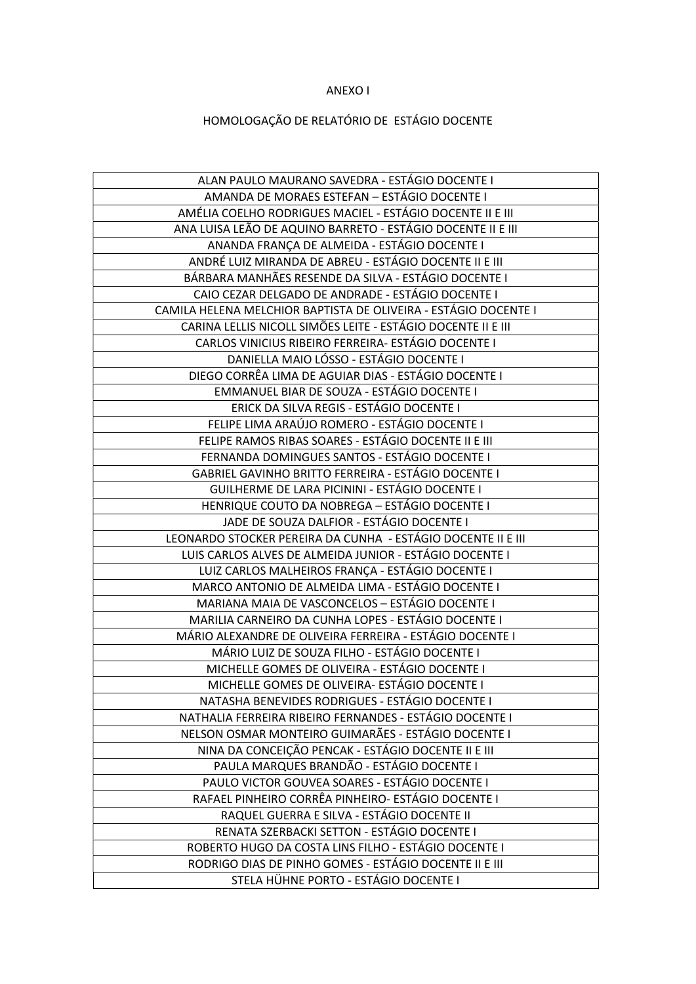## ANEXO I

## HOMOLOGAÇÃO DE RELATÓRIO DE ESTÁGIO DOCENTE

| ALAN PAULO MAURANO SAVEDRA - ESTÁGIO DOCENTE I                  |
|-----------------------------------------------------------------|
| AMANDA DE MORAES ESTEFAN - ESTÁGIO DOCENTE I                    |
| AMÉLIA COELHO RODRIGUES MACIEL - ESTÁGIO DOCENTE II E III       |
| ANA LUISA LEÃO DE AQUINO BARRETO - ESTÁGIO DOCENTE II E III     |
| ANANDA FRANÇA DE ALMEIDA - ESTÁGIO DOCENTE I                    |
| ANDRÉ LUIZ MIRANDA DE ABREU - ESTÁGIO DOCENTE II E III          |
| BÁRBARA MANHÃES RESENDE DA SILVA - ESTÁGIO DOCENTE I            |
| CAIO CEZAR DELGADO DE ANDRADE - ESTÁGIO DOCENTE I               |
| CAMILA HELENA MELCHIOR BAPTISTA DE OLIVEIRA - ESTÁGIO DOCENTE I |
| CARINA LELLIS NICOLL SIMÕES LEITE - ESTÁGIO DOCENTE II E III    |
| CARLOS VINICIUS RIBEIRO FERREIRA- ESTÁGIO DOCENTE I             |
| DANIELLA MAIO LÓSSO - ESTÁGIO DOCENTE I                         |
| DIEGO CORRÊA LIMA DE AGUIAR DIAS - ESTÁGIO DOCENTE I            |
| EMMANUEL BIAR DE SOUZA - ESTÁGIO DOCENTE I                      |
| ERICK DA SILVA REGIS - ESTÁGIO DOCENTE I                        |
| FELIPE LIMA ARAÚJO ROMERO - ESTÁGIO DOCENTE I                   |
| FELIPE RAMOS RIBAS SOARES - ESTÁGIO DOCENTE II E III            |
| FERNANDA DOMINGUES SANTOS - ESTÁGIO DOCENTE I                   |
| GABRIEL GAVINHO BRITTO FERREIRA - ESTÁGIO DOCENTE I             |
| GUILHERME DE LARA PICININI - ESTÁGIO DOCENTE I                  |
| HENRIQUE COUTO DA NOBREGA - ESTÁGIO DOCENTE I                   |
| JADE DE SOUZA DALFIOR - ESTÁGIO DOCENTE I                       |
| LEONARDO STOCKER PEREIRA DA CUNHA - ESTÁGIO DOCENTE II E III    |
| LUIS CARLOS ALVES DE ALMEIDA JUNIOR - ESTÁGIO DOCENTE I         |
| LUIZ CARLOS MALHEIROS FRANÇA - ESTÁGIO DOCENTE I                |
| MARCO ANTONIO DE ALMEIDA LIMA - ESTÁGIO DOCENTE I               |
| MARIANA MAIA DE VASCONCELOS - ESTÁGIO DOCENTE I                 |
| MARILIA CARNEIRO DA CUNHA LOPES - ESTÁGIO DOCENTE I             |
| MÁRIO ALEXANDRE DE OLIVEIRA FERREIRA - ESTÁGIO DOCENTE I        |
| MÁRIO LUIZ DE SOUZA FILHO - ESTÁGIO DOCENTE I                   |
| MICHELLE GOMES DE OLIVEIRA - ESTÁGIO DOCENTE I                  |
| MICHELLE GOMES DE OLIVEIRA- ESTÁGIO DOCENTE I                   |
| NATASHA BENEVIDES RODRIGUES - ESTÁGIO DOCENTE I                 |
| NATHALIA FERREIRA RIBEIRO FERNANDES - ESTÁGIO DOCENTE I         |
| NELSON OSMAR MONTEIRO GUIMARÃES - ESTÁGIO DOCENTE I             |
| NINA DA CONCEIÇÃO PENCAK - ESTÁGIO DOCENTE II E III             |
| PAULA MARQUES BRANDÃO - ESTÁGIO DOCENTE I                       |
| PAULO VICTOR GOUVEA SOARES - ESTÁGIO DOCENTE I                  |
| RAFAEL PINHEIRO CORRÊA PINHEIRO- ESTÁGIO DOCENTE I              |
| RAQUEL GUERRA E SILVA - ESTÁGIO DOCENTE II                      |
| RENATA SZERBACKI SETTON - ESTÁGIO DOCENTE I                     |
| ROBERTO HUGO DA COSTA LINS FILHO - ESTÁGIO DOCENTE I            |
| RODRIGO DIAS DE PINHO GOMES - ESTÁGIO DOCENTE II E III          |
| STELA HÜHNE PORTO - ESTÁGIO DOCENTE I                           |